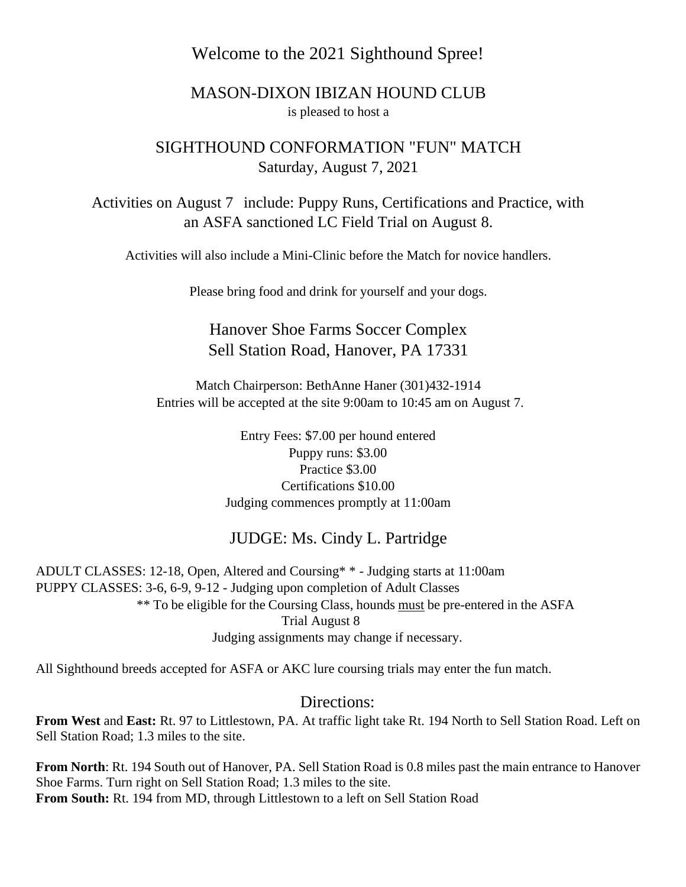### Welcome to the 2021 Sighthound Spree!

#### MASON-DIXON IBIZAN HOUND CLUB is pleased to host a

### SIGHTHOUND CONFORMATION "FUN" MATCH Saturday, August 7, 2021

Activities on August 7 include: Puppy Runs, Certifications and Practice, with an ASFA sanctioned LC Field Trial on August 8.

Activities will also include a Mini-Clinic before the Match for novice handlers.

Please bring food and drink for yourself and your dogs.

## Hanover Shoe Farms Soccer Complex Sell Station Road, Hanover, PA 17331

Match Chairperson: BethAnne Haner (301)432-1914 Entries will be accepted at the site 9:00am to 10:45 am on August 7.

> Entry Fees: \$7.00 per hound entered Puppy runs: \$3.00 Practice \$3.00 Certifications \$10.00 Judging commences promptly at 11:00am

#### JUDGE: Ms. Cindy L. Partridge

ADULT CLASSES: 12-18, Open, Altered and Coursing\* \* - Judging starts at 11:00am PUPPY CLASSES: 3-6, 6-9, 9-12 - Judging upon completion of Adult Classes \*\* To be eligible for the Coursing Class, hounds must be pre-entered in the ASFA Trial August 8 Judging assignments may change if necessary.

All Sighthound breeds accepted for ASFA or AKC lure coursing trials may enter the fun match.

#### Directions:

**From West** and **East:** Rt. 97 to Littlestown, PA. At traffic light take Rt. 194 North to Sell Station Road. Left on Sell Station Road; 1.3 miles to the site.

**From North**: Rt. 194 South out of Hanover, PA. Sell Station Road is 0.8 miles past the main entrance to Hanover Shoe Farms. Turn right on Sell Station Road; 1.3 miles to the site. **From South:** Rt. 194 from MD, through Littlestown to a left on Sell Station Road